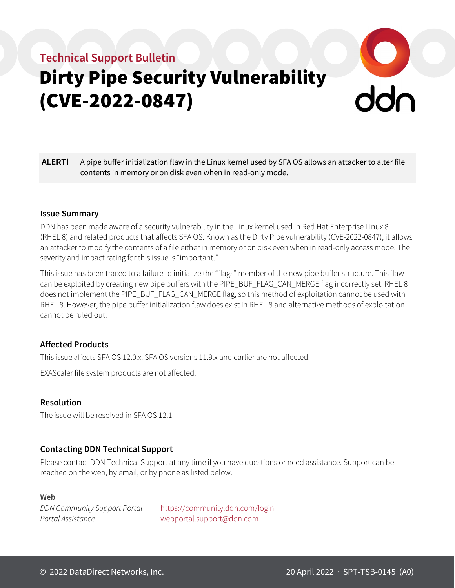# **Technical Support Bulletin** Dirty Pipe Security Vulnerability (CVE-2022-0847)

**ALERT!** A pipe buffer initialization flaw in the Linux kernel used by SFA OS allows an attacker to alter file contents in memory or on disk even when in read-only mode.

## **Issue Summary**

DDN has been made aware of a security vulnerability in the Linux kernel used in Red Hat Enterprise Linux 8 (RHEL 8) and related products that affects SFA OS. Known as the Dirty Pipe vulnerability (CVE-2022-0847), it allows an attacker to modify the contents of a file either in memory or on disk even when in read-only access mode. The severity and impact rating for this issue is "important."

This issue has been traced to a failure to initialize the "flags" member of the new pipe buffer structure. This flaw can be exploited by creating new pipe buffers with the PIPE\_BUF\_FLAG\_CAN\_MERGE flag incorrectly set. RHEL 8 does not implement the PIPE\_BUF\_FLAG\_CAN\_MERGE flag, so this method of exploitation cannot be used with RHEL 8. However, the pipe buffer initialization flaw does exist in RHEL 8 and alternative methods of exploitation cannot be ruled out.

## **Affected Products**

This issue affects SFA OS 12.0.x. SFA OS versions 11.9.x and earlier are not affected.

EXAScaler file system products are not affected.

## **Resolution**

The issue will be resolved in SFA OS 12.1.

# **Contacting DDN Technical Support**

Please contact DDN Technical Support at any time if you have questions or need assistance. Support can be reached on the web, by email, or by phone as listed below.

#### **Web**

*Portal Assistance* [webportal.support@ddn.com](mailto:webportal.support@ddn.com)

*DDN Community Support Portal* <https://community.ddn.com/login>

 $\frac{1}{2}$